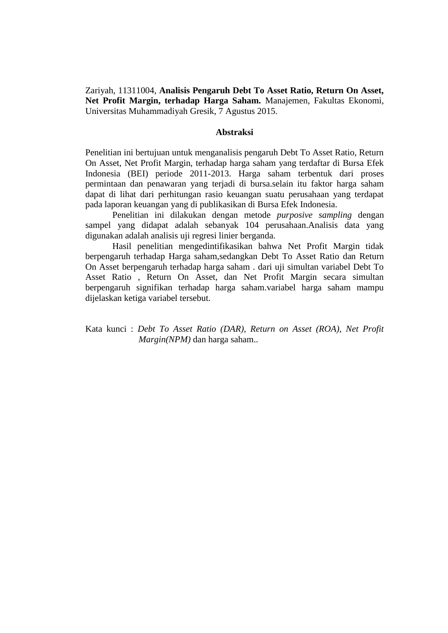Zariyah, 11311004, **Analisis Pengaruh Debt To Asset Ratio, Return On Asset, Net Profit Margin, terhadap Harga Saham.** Manajemen, Fakultas Ekonomi, Universitas Muhammadiyah Gresik, 7 Agustus 2015.

## **Abstraksi**

Penelitian ini bertujuan untuk menganalisis pengaruh Debt To Asset Ratio, Return On Asset, Net Profit Margin, terhadap harga saham yang terdaftar di Bursa Efek Indonesia (BEI) periode 2011-2013. Harga saham terbentuk dari proses permintaan dan penawaran yang terjadi di bursa.selain itu faktor harga saham dapat di lihat dari perhitungan rasio keuangan suatu perusahaan yang terdapat pada laporan keuangan yang di publikasikan di Bursa Efek Indonesia.

Penelitian ini dilakukan dengan metode *purposive sampling* dengan sampel yang didapat adalah sebanyak 104 perusahaan.Analisis data yang digunakan adalah analisis uji regresi linier berganda.

Hasil penelitian mengedintifikasikan bahwa Net Profit Margin tidak berpengaruh terhadap Harga saham,sedangkan Debt To Asset Ratio dan Return On Asset berpengaruh terhadap harga saham . dari uji simultan variabel Debt To Asset Ratio , Return On Asset, dan Net Profit Margin secara simultan berpengaruh signifikan terhadap harga saham.variabel harga saham mampu dijelaskan ketiga variabel tersebut.

Kata kunci : *Debt To Asset Ratio (DAR), Return on Asset (ROA), Net Profit Margin(NPM)* dan harga saham..